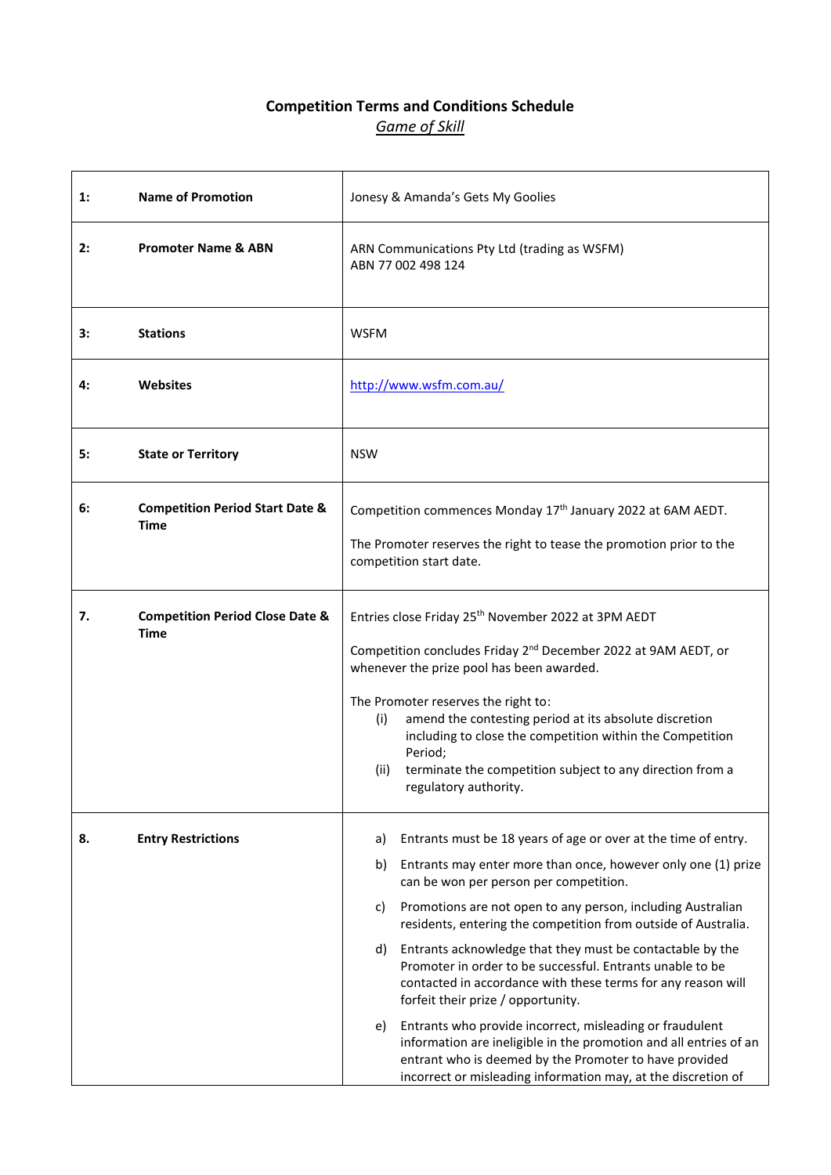# **Competition Terms and Conditions Schedule** *Game of Skill*

| 1: | <b>Name of Promotion</b>                                  | Jonesy & Amanda's Gets My Goolies                                                                                                                                                                                                                                                                                                                                                                                                                                                                                                                                                                                                                                                                                                                                                                                                    |
|----|-----------------------------------------------------------|--------------------------------------------------------------------------------------------------------------------------------------------------------------------------------------------------------------------------------------------------------------------------------------------------------------------------------------------------------------------------------------------------------------------------------------------------------------------------------------------------------------------------------------------------------------------------------------------------------------------------------------------------------------------------------------------------------------------------------------------------------------------------------------------------------------------------------------|
| 2: | <b>Promoter Name &amp; ABN</b>                            | ARN Communications Pty Ltd (trading as WSFM)<br>ABN 77 002 498 124                                                                                                                                                                                                                                                                                                                                                                                                                                                                                                                                                                                                                                                                                                                                                                   |
| 3: | <b>Stations</b>                                           | <b>WSFM</b>                                                                                                                                                                                                                                                                                                                                                                                                                                                                                                                                                                                                                                                                                                                                                                                                                          |
| 4: | <b>Websites</b>                                           | http://www.wsfm.com.au/                                                                                                                                                                                                                                                                                                                                                                                                                                                                                                                                                                                                                                                                                                                                                                                                              |
| 5: | <b>State or Territory</b>                                 | <b>NSW</b>                                                                                                                                                                                                                                                                                                                                                                                                                                                                                                                                                                                                                                                                                                                                                                                                                           |
| 6: | <b>Competition Period Start Date &amp;</b><br><b>Time</b> | Competition commences Monday 17th January 2022 at 6AM AEDT.<br>The Promoter reserves the right to tease the promotion prior to the<br>competition start date.                                                                                                                                                                                                                                                                                                                                                                                                                                                                                                                                                                                                                                                                        |
| 7. | <b>Competition Period Close Date &amp;</b><br><b>Time</b> | Entries close Friday 25 <sup>th</sup> November 2022 at 3PM AEDT<br>Competition concludes Friday 2 <sup>nd</sup> December 2022 at 9AM AEDT, or<br>whenever the prize pool has been awarded.<br>The Promoter reserves the right to:<br>amend the contesting period at its absolute discretion<br>(i)<br>including to close the competition within the Competition<br>Period;<br>terminate the competition subject to any direction from a<br>(ii)<br>regulatory authority.                                                                                                                                                                                                                                                                                                                                                             |
| 8. | <b>Entry Restrictions</b>                                 | Entrants must be 18 years of age or over at the time of entry.<br>a)<br>Entrants may enter more than once, however only one (1) prize<br>b)<br>can be won per person per competition.<br>Promotions are not open to any person, including Australian<br>c)<br>residents, entering the competition from outside of Australia.<br>Entrants acknowledge that they must be contactable by the<br>d)<br>Promoter in order to be successful. Entrants unable to be<br>contacted in accordance with these terms for any reason will<br>forfeit their prize / opportunity.<br>Entrants who provide incorrect, misleading or fraudulent<br>e)<br>information are ineligible in the promotion and all entries of an<br>entrant who is deemed by the Promoter to have provided<br>incorrect or misleading information may, at the discretion of |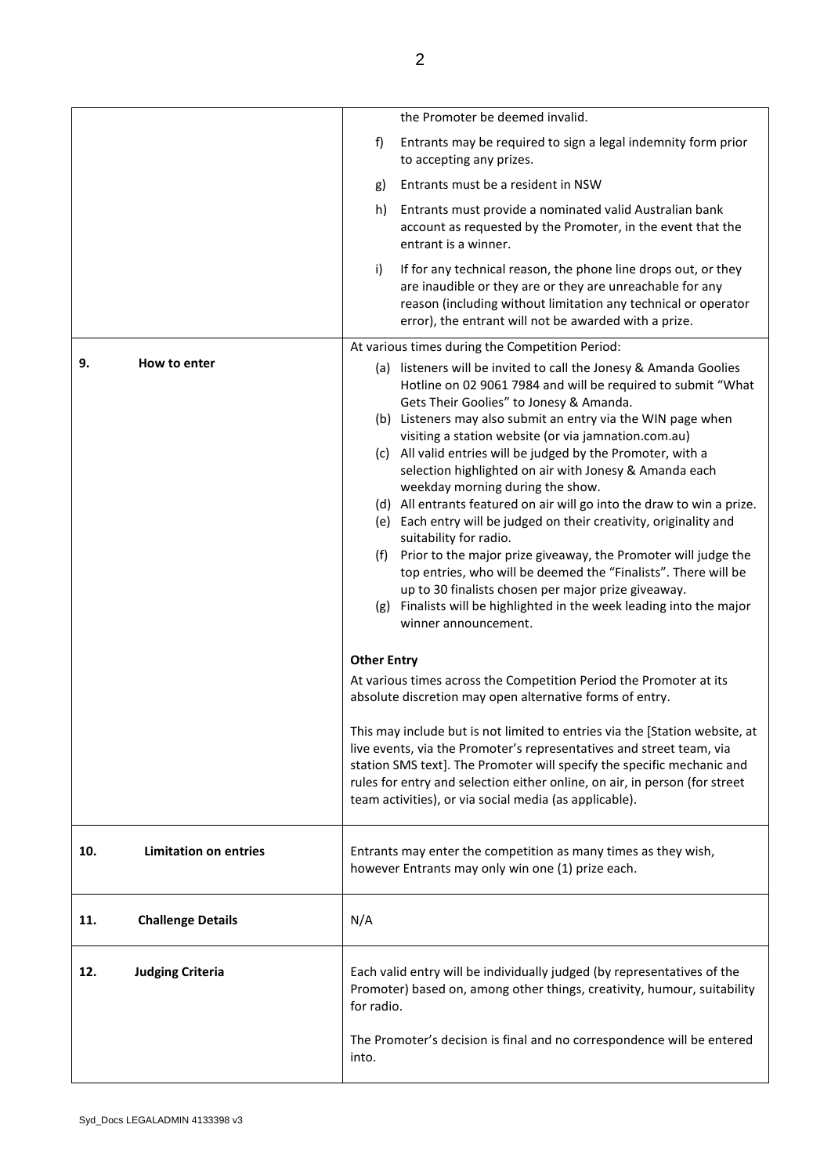|     |                              |                                                                                                                                                                  | the Promoter be deemed invalid.                                                                                                                                                                                                                        |
|-----|------------------------------|------------------------------------------------------------------------------------------------------------------------------------------------------------------|--------------------------------------------------------------------------------------------------------------------------------------------------------------------------------------------------------------------------------------------------------|
|     |                              | f)                                                                                                                                                               | Entrants may be required to sign a legal indemnity form prior<br>to accepting any prizes.                                                                                                                                                              |
|     |                              | g)                                                                                                                                                               | Entrants must be a resident in NSW                                                                                                                                                                                                                     |
|     |                              | h)                                                                                                                                                               | Entrants must provide a nominated valid Australian bank<br>account as requested by the Promoter, in the event that the<br>entrant is a winner.                                                                                                         |
|     |                              | i)                                                                                                                                                               | If for any technical reason, the phone line drops out, or they<br>are inaudible or they are or they are unreachable for any<br>reason (including without limitation any technical or operator<br>error), the entrant will not be awarded with a prize. |
|     |                              |                                                                                                                                                                  | At various times during the Competition Period:                                                                                                                                                                                                        |
| 9.  | How to enter                 |                                                                                                                                                                  | (a) listeners will be invited to call the Jonesy & Amanda Goolies<br>Hotline on 02 9061 7984 and will be required to submit "What<br>Gets Their Goolies" to Jonesy & Amanda.                                                                           |
|     |                              |                                                                                                                                                                  | (b) Listeners may also submit an entry via the WIN page when                                                                                                                                                                                           |
|     |                              |                                                                                                                                                                  | visiting a station website (or via jamnation.com.au)<br>(c) All valid entries will be judged by the Promoter, with a                                                                                                                                   |
|     |                              |                                                                                                                                                                  | selection highlighted on air with Jonesy & Amanda each                                                                                                                                                                                                 |
|     |                              |                                                                                                                                                                  | weekday morning during the show.<br>(d) All entrants featured on air will go into the draw to win a prize.                                                                                                                                             |
|     |                              |                                                                                                                                                                  | (e) Each entry will be judged on their creativity, originality and                                                                                                                                                                                     |
|     |                              |                                                                                                                                                                  | suitability for radio.                                                                                                                                                                                                                                 |
|     |                              |                                                                                                                                                                  | (f) Prior to the major prize giveaway, the Promoter will judge the<br>top entries, who will be deemed the "Finalists". There will be                                                                                                                   |
|     |                              |                                                                                                                                                                  | up to 30 finalists chosen per major prize giveaway.                                                                                                                                                                                                    |
|     |                              |                                                                                                                                                                  | (g) Finalists will be highlighted in the week leading into the major<br>winner announcement.                                                                                                                                                           |
|     |                              | <b>Other Entry</b>                                                                                                                                               |                                                                                                                                                                                                                                                        |
|     |                              |                                                                                                                                                                  | At various times across the Competition Period the Promoter at its<br>absolute discretion may open alternative forms of entry.                                                                                                                         |
|     |                              |                                                                                                                                                                  | This may include but is not limited to entries via the [Station website, at<br>live events, via the Promoter's representatives and street team, via<br>station SMS text]. The Promoter will specify the specific mechanic and                          |
|     |                              |                                                                                                                                                                  | rules for entry and selection either online, on air, in person (for street<br>team activities), or via social media (as applicable).                                                                                                                   |
| 10. | <b>Limitation on entries</b> |                                                                                                                                                                  | Entrants may enter the competition as many times as they wish,<br>however Entrants may only win one (1) prize each.                                                                                                                                    |
| 11. | <b>Challenge Details</b>     | N/A                                                                                                                                                              |                                                                                                                                                                                                                                                        |
| 12. | <b>Judging Criteria</b>      | Each valid entry will be individually judged (by representatives of the<br>Promoter) based on, among other things, creativity, humour, suitability<br>for radio. |                                                                                                                                                                                                                                                        |
|     |                              | into.                                                                                                                                                            | The Promoter's decision is final and no correspondence will be entered                                                                                                                                                                                 |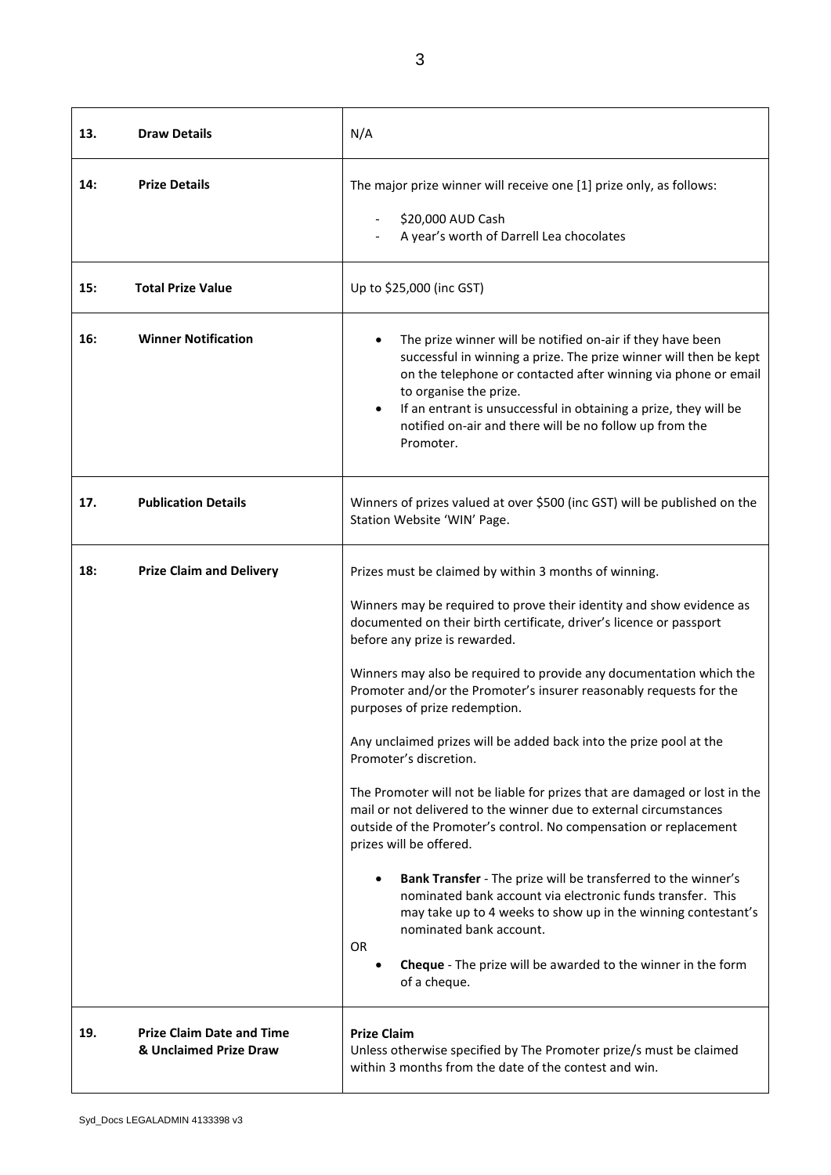| 13. | <b>Draw Details</b>                                        | N/A                                                                                                                                                                                                                                                                                                                                                                                                                                                                                                                                                                                                                                                                                                                                                                                                                                                                                                                                                                                                                                                                                            |
|-----|------------------------------------------------------------|------------------------------------------------------------------------------------------------------------------------------------------------------------------------------------------------------------------------------------------------------------------------------------------------------------------------------------------------------------------------------------------------------------------------------------------------------------------------------------------------------------------------------------------------------------------------------------------------------------------------------------------------------------------------------------------------------------------------------------------------------------------------------------------------------------------------------------------------------------------------------------------------------------------------------------------------------------------------------------------------------------------------------------------------------------------------------------------------|
| 14: | <b>Prize Details</b>                                       | The major prize winner will receive one [1] prize only, as follows:<br>\$20,000 AUD Cash<br>A year's worth of Darrell Lea chocolates                                                                                                                                                                                                                                                                                                                                                                                                                                                                                                                                                                                                                                                                                                                                                                                                                                                                                                                                                           |
| 15: | <b>Total Prize Value</b>                                   | Up to \$25,000 (inc GST)                                                                                                                                                                                                                                                                                                                                                                                                                                                                                                                                                                                                                                                                                                                                                                                                                                                                                                                                                                                                                                                                       |
| 16: | <b>Winner Notification</b>                                 | The prize winner will be notified on-air if they have been<br>successful in winning a prize. The prize winner will then be kept<br>on the telephone or contacted after winning via phone or email<br>to organise the prize.<br>If an entrant is unsuccessful in obtaining a prize, they will be<br>notified on-air and there will be no follow up from the<br>Promoter.                                                                                                                                                                                                                                                                                                                                                                                                                                                                                                                                                                                                                                                                                                                        |
| 17. | <b>Publication Details</b>                                 | Winners of prizes valued at over \$500 (inc GST) will be published on the<br>Station Website 'WIN' Page.                                                                                                                                                                                                                                                                                                                                                                                                                                                                                                                                                                                                                                                                                                                                                                                                                                                                                                                                                                                       |
| 18: | <b>Prize Claim and Delivery</b>                            | Prizes must be claimed by within 3 months of winning.<br>Winners may be required to prove their identity and show evidence as<br>documented on their birth certificate, driver's licence or passport<br>before any prize is rewarded.<br>Winners may also be required to provide any documentation which the<br>Promoter and/or the Promoter's insurer reasonably requests for the<br>purposes of prize redemption.<br>Any unclaimed prizes will be added back into the prize pool at the<br>Promoter's discretion.<br>The Promoter will not be liable for prizes that are damaged or lost in the<br>mail or not delivered to the winner due to external circumstances<br>outside of the Promoter's control. No compensation or replacement<br>prizes will be offered.<br>Bank Transfer - The prize will be transferred to the winner's<br>nominated bank account via electronic funds transfer. This<br>may take up to 4 weeks to show up in the winning contestant's<br>nominated bank account.<br><b>OR</b><br>Cheque - The prize will be awarded to the winner in the form<br>of a cheque. |
| 19. | <b>Prize Claim Date and Time</b><br>& Unclaimed Prize Draw | <b>Prize Claim</b><br>Unless otherwise specified by The Promoter prize/s must be claimed<br>within 3 months from the date of the contest and win.                                                                                                                                                                                                                                                                                                                                                                                                                                                                                                                                                                                                                                                                                                                                                                                                                                                                                                                                              |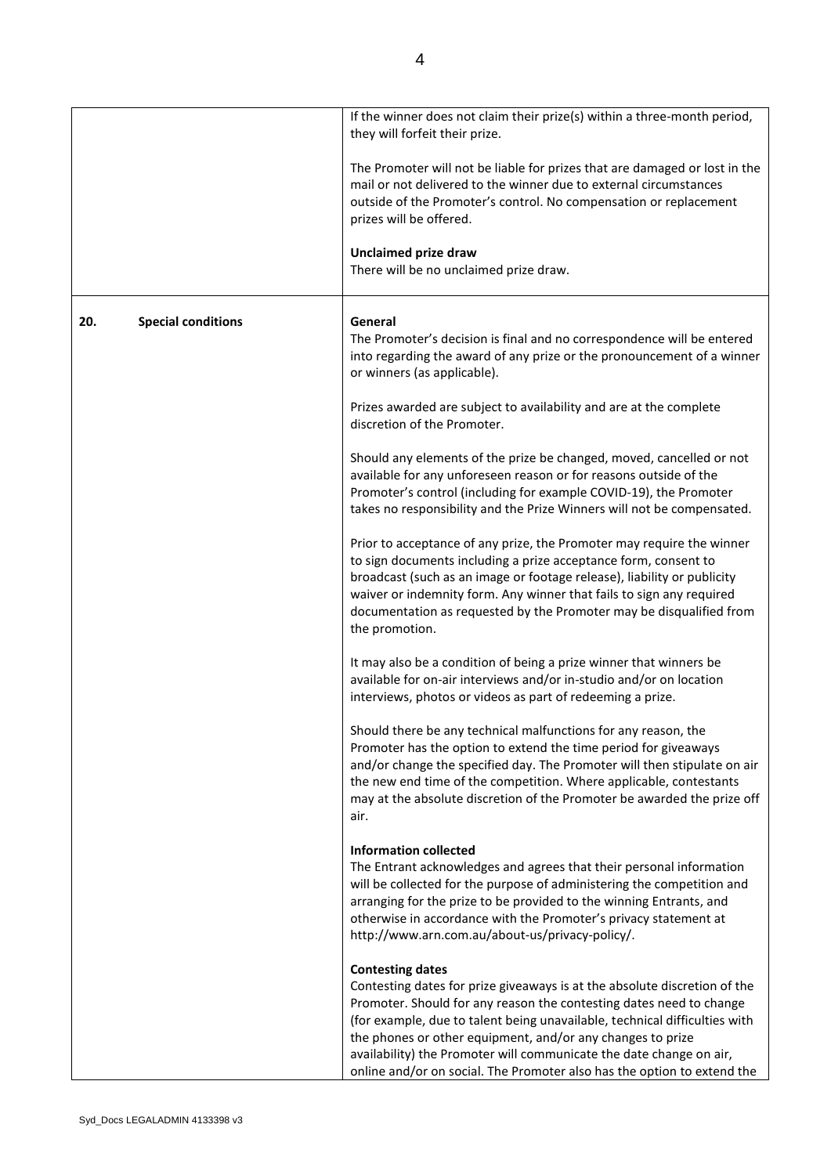|     |                           | If the winner does not claim their prize(s) within a three-month period,<br>they will forfeit their prize.                                                                                                                                                                                                                                                                                                                                                                |
|-----|---------------------------|---------------------------------------------------------------------------------------------------------------------------------------------------------------------------------------------------------------------------------------------------------------------------------------------------------------------------------------------------------------------------------------------------------------------------------------------------------------------------|
|     |                           | The Promoter will not be liable for prizes that are damaged or lost in the<br>mail or not delivered to the winner due to external circumstances<br>outside of the Promoter's control. No compensation or replacement<br>prizes will be offered.                                                                                                                                                                                                                           |
|     |                           | <b>Unclaimed prize draw</b><br>There will be no unclaimed prize draw.                                                                                                                                                                                                                                                                                                                                                                                                     |
| 20. | <b>Special conditions</b> | General<br>The Promoter's decision is final and no correspondence will be entered<br>into regarding the award of any prize or the pronouncement of a winner<br>or winners (as applicable).                                                                                                                                                                                                                                                                                |
|     |                           | Prizes awarded are subject to availability and are at the complete<br>discretion of the Promoter.                                                                                                                                                                                                                                                                                                                                                                         |
|     |                           | Should any elements of the prize be changed, moved, cancelled or not<br>available for any unforeseen reason or for reasons outside of the<br>Promoter's control (including for example COVID-19), the Promoter<br>takes no responsibility and the Prize Winners will not be compensated.                                                                                                                                                                                  |
|     |                           | Prior to acceptance of any prize, the Promoter may require the winner<br>to sign documents including a prize acceptance form, consent to<br>broadcast (such as an image or footage release), liability or publicity<br>waiver or indemnity form. Any winner that fails to sign any required<br>documentation as requested by the Promoter may be disqualified from<br>the promotion.                                                                                      |
|     |                           | It may also be a condition of being a prize winner that winners be<br>available for on-air interviews and/or in-studio and/or on location<br>interviews, photos or videos as part of redeeming a prize.                                                                                                                                                                                                                                                                   |
|     |                           | Should there be any technical malfunctions for any reason, the<br>Promoter has the option to extend the time period for giveaways<br>and/or change the specified day. The Promoter will then stipulate on air<br>the new end time of the competition. Where applicable, contestants<br>may at the absolute discretion of the Promoter be awarded the prize off<br>air.                                                                                                    |
|     |                           | <b>Information collected</b><br>The Entrant acknowledges and agrees that their personal information<br>will be collected for the purpose of administering the competition and<br>arranging for the prize to be provided to the winning Entrants, and<br>otherwise in accordance with the Promoter's privacy statement at<br>http://www.arn.com.au/about-us/privacy-policy/.                                                                                               |
|     |                           | <b>Contesting dates</b><br>Contesting dates for prize giveaways is at the absolute discretion of the<br>Promoter. Should for any reason the contesting dates need to change<br>(for example, due to talent being unavailable, technical difficulties with<br>the phones or other equipment, and/or any changes to prize<br>availability) the Promoter will communicate the date change on air,<br>online and/or on social. The Promoter also has the option to extend the |

ı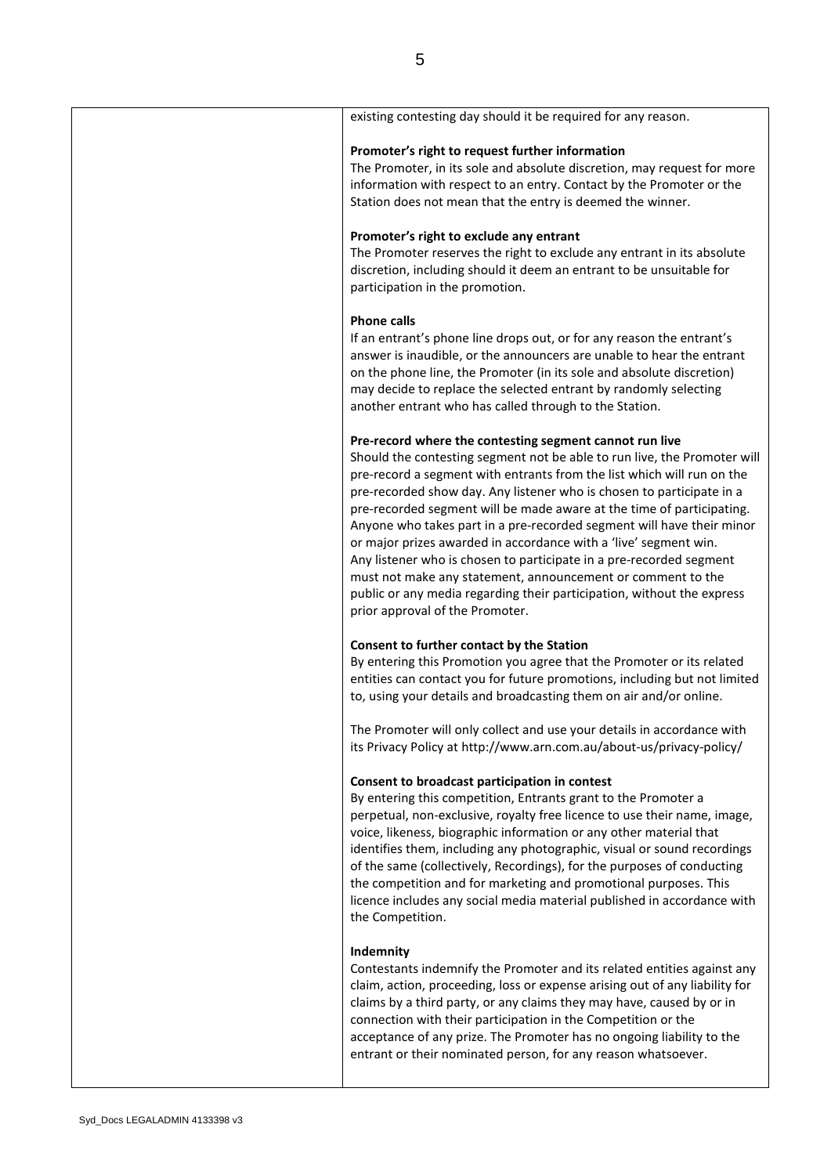| existing contesting day should it be required for any reason.                                                                                                                                                                                                                                                                                                                                                                                                                                                                                                                                                                                                                                                                                                   |
|-----------------------------------------------------------------------------------------------------------------------------------------------------------------------------------------------------------------------------------------------------------------------------------------------------------------------------------------------------------------------------------------------------------------------------------------------------------------------------------------------------------------------------------------------------------------------------------------------------------------------------------------------------------------------------------------------------------------------------------------------------------------|
| Promoter's right to request further information<br>The Promoter, in its sole and absolute discretion, may request for more<br>information with respect to an entry. Contact by the Promoter or the<br>Station does not mean that the entry is deemed the winner.                                                                                                                                                                                                                                                                                                                                                                                                                                                                                                |
| Promoter's right to exclude any entrant<br>The Promoter reserves the right to exclude any entrant in its absolute<br>discretion, including should it deem an entrant to be unsuitable for<br>participation in the promotion.                                                                                                                                                                                                                                                                                                                                                                                                                                                                                                                                    |
| <b>Phone calls</b><br>If an entrant's phone line drops out, or for any reason the entrant's<br>answer is inaudible, or the announcers are unable to hear the entrant<br>on the phone line, the Promoter (in its sole and absolute discretion)<br>may decide to replace the selected entrant by randomly selecting<br>another entrant who has called through to the Station.                                                                                                                                                                                                                                                                                                                                                                                     |
| Pre-record where the contesting segment cannot run live<br>Should the contesting segment not be able to run live, the Promoter will<br>pre-record a segment with entrants from the list which will run on the<br>pre-recorded show day. Any listener who is chosen to participate in a<br>pre-recorded segment will be made aware at the time of participating.<br>Anyone who takes part in a pre-recorded segment will have their minor<br>or major prizes awarded in accordance with a 'live' segment win.<br>Any listener who is chosen to participate in a pre-recorded segment<br>must not make any statement, announcement or comment to the<br>public or any media regarding their participation, without the express<br>prior approval of the Promoter. |
| Consent to further contact by the Station<br>By entering this Promotion you agree that the Promoter or its related<br>entities can contact you for future promotions, including but not limited<br>to, using your details and broadcasting them on air and/or online.                                                                                                                                                                                                                                                                                                                                                                                                                                                                                           |
| The Promoter will only collect and use your details in accordance with<br>its Privacy Policy at http://www.arn.com.au/about-us/privacy-policy/                                                                                                                                                                                                                                                                                                                                                                                                                                                                                                                                                                                                                  |
| Consent to broadcast participation in contest<br>By entering this competition, Entrants grant to the Promoter a<br>perpetual, non-exclusive, royalty free licence to use their name, image,<br>voice, likeness, biographic information or any other material that<br>identifies them, including any photographic, visual or sound recordings<br>of the same (collectively, Recordings), for the purposes of conducting<br>the competition and for marketing and promotional purposes. This<br>licence includes any social media material published in accordance with<br>the Competition.                                                                                                                                                                       |
| Indemnity<br>Contestants indemnify the Promoter and its related entities against any<br>claim, action, proceeding, loss or expense arising out of any liability for<br>claims by a third party, or any claims they may have, caused by or in<br>connection with their participation in the Competition or the<br>acceptance of any prize. The Promoter has no ongoing liability to the<br>entrant or their nominated person, for any reason whatsoever.                                                                                                                                                                                                                                                                                                         |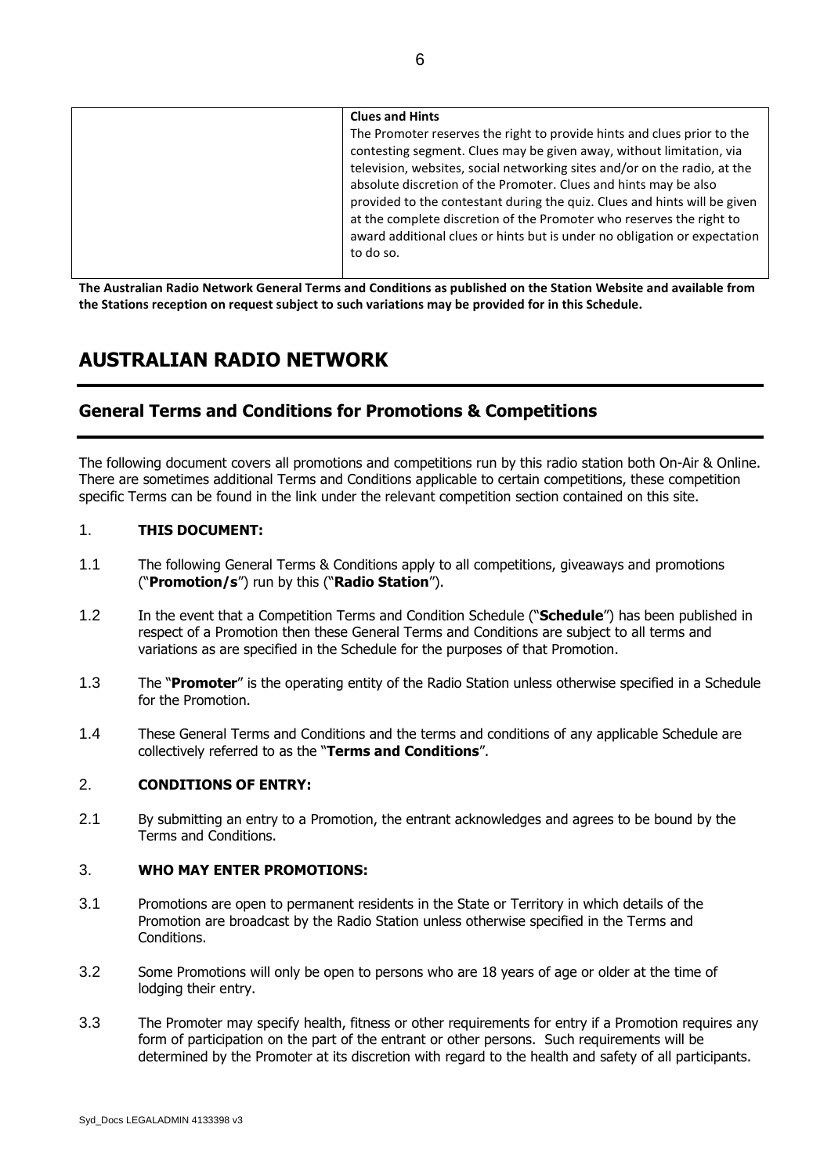| <b>Clues and Hints</b>                                                                                                                                                                                                                                                                           |
|--------------------------------------------------------------------------------------------------------------------------------------------------------------------------------------------------------------------------------------------------------------------------------------------------|
| The Promoter reserves the right to provide hints and clues prior to the<br>contesting segment. Clues may be given away, without limitation, via<br>television, websites, social networking sites and/or on the radio, at the<br>absolute discretion of the Promoter. Clues and hints may be also |
| provided to the contestant during the quiz. Clues and hints will be given<br>at the complete discretion of the Promoter who reserves the right to<br>award additional clues or hints but is under no obligation or expectation<br>to do so.                                                      |

**The Australian Radio Network General Terms and Conditions as published on the Station Website and available from the Stations reception on request subject to such variations may be provided for in this Schedule.**

# **AUSTRALIAN RADIO NETWORK**

# **General Terms and Conditions for Promotions & Competitions**

The following document covers all promotions and competitions run by this radio station both On-Air & Online. There are sometimes additional Terms and Conditions applicable to certain competitions, these competition specific Terms can be found in the link under the relevant competition section contained on this site.

# 1. **THIS DOCUMENT:**

- 1.1 The following General Terms & Conditions apply to all competitions, giveaways and promotions ("**Promotion/s**") run by this ("**Radio Station**").
- 1.2 In the event that a Competition Terms and Condition Schedule ("**Schedule**") has been published in respect of a Promotion then these General Terms and Conditions are subject to all terms and variations as are specified in the Schedule for the purposes of that Promotion.
- 1.3 The "**Promoter**" is the operating entity of the Radio Station unless otherwise specified in a Schedule for the Promotion.
- 1.4 These General Terms and Conditions and the terms and conditions of any applicable Schedule are collectively referred to as the "**Terms and Conditions**".

# 2. **CONDITIONS OF ENTRY:**

2.1 By submitting an entry to a Promotion, the entrant acknowledges and agrees to be bound by the Terms and Conditions.

# 3. **WHO MAY ENTER PROMOTIONS:**

- 3.1 Promotions are open to permanent residents in the State or Territory in which details of the Promotion are broadcast by the Radio Station unless otherwise specified in the Terms and Conditions.
- 3.2 Some Promotions will only be open to persons who are 18 years of age or older at the time of lodging their entry.
- 3.3 The Promoter may specify health, fitness or other requirements for entry if a Promotion requires any form of participation on the part of the entrant or other persons. Such requirements will be determined by the Promoter at its discretion with regard to the health and safety of all participants.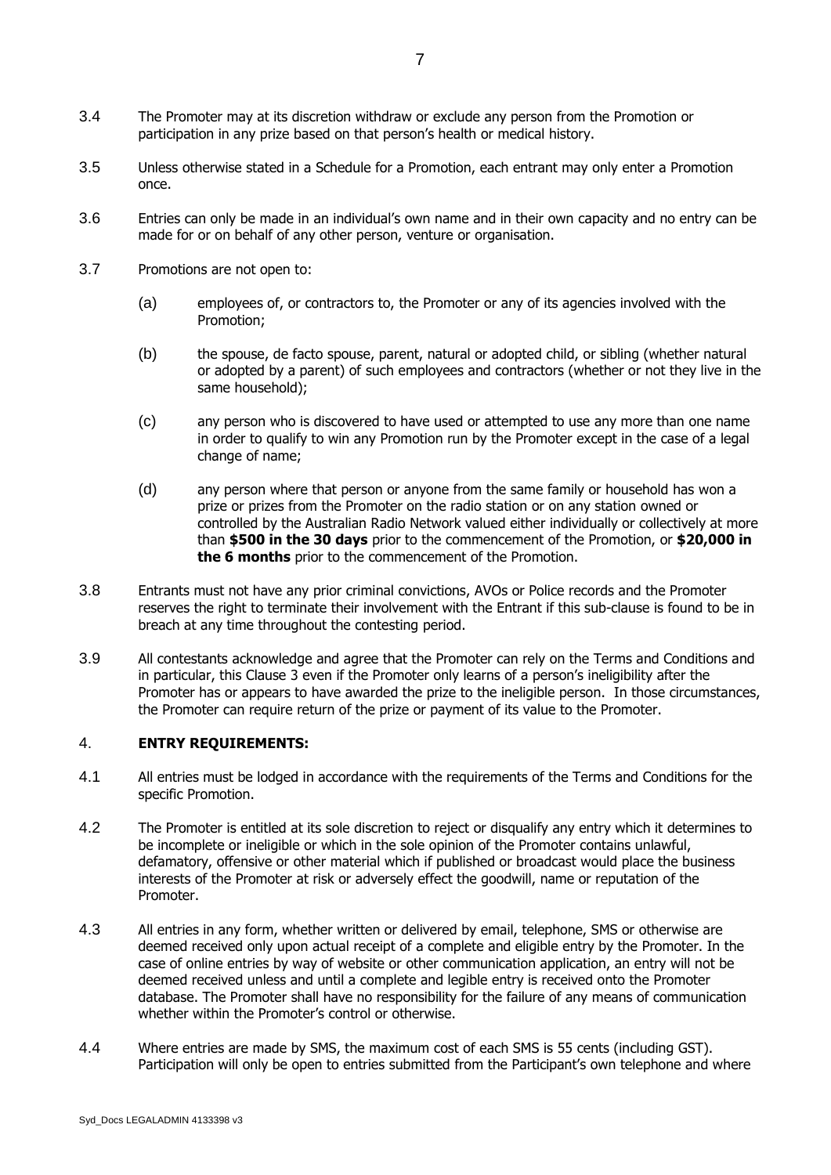participation in any prize based on that person's health or medical history.

- 3.5 Unless otherwise stated in a Schedule for a Promotion, each entrant may only enter a Promotion once.
- 3.6 Entries can only be made in an individual's own name and in their own capacity and no entry can be made for or on behalf of any other person, venture or organisation.
- 3.7 Promotions are not open to:
	- (a) employees of, or contractors to, the Promoter or any of its agencies involved with the Promotion;
	- (b) the spouse, de facto spouse, parent, natural or adopted child, or sibling (whether natural or adopted by a parent) of such employees and contractors (whether or not they live in the same household);
	- (c) any person who is discovered to have used or attempted to use any more than one name in order to qualify to win any Promotion run by the Promoter except in the case of a legal change of name;
	- (d) any person where that person or anyone from the same family or household has won a prize or prizes from the Promoter on the radio station or on any station owned or controlled by the Australian Radio Network valued either individually or collectively at more than **\$500 in the 30 days** prior to the commencement of the Promotion, or **\$20,000 in the 6 months** prior to the commencement of the Promotion.
- 3.8 Entrants must not have any prior criminal convictions, AVOs or Police records and the Promoter reserves the right to terminate their involvement with the Entrant if this sub-clause is found to be in breach at any time throughout the contesting period.
- 3.9 All contestants acknowledge and agree that the Promoter can rely on the Terms and Conditions and in particular, this Clause 3 even if the Promoter only learns of a person's ineligibility after the Promoter has or appears to have awarded the prize to the ineligible person. In those circumstances, the Promoter can require return of the prize or payment of its value to the Promoter.

# 4. **ENTRY REQUIREMENTS:**

- 4.1 All entries must be lodged in accordance with the requirements of the Terms and Conditions for the specific Promotion.
- 4.2 The Promoter is entitled at its sole discretion to reject or disqualify any entry which it determines to be incomplete or ineligible or which in the sole opinion of the Promoter contains unlawful, defamatory, offensive or other material which if published or broadcast would place the business interests of the Promoter at risk or adversely effect the goodwill, name or reputation of the Promoter.
- 4.3 All entries in any form, whether written or delivered by email, telephone, SMS or otherwise are deemed received only upon actual receipt of a complete and eligible entry by the Promoter. In the case of online entries by way of website or other communication application, an entry will not be deemed received unless and until a complete and legible entry is received onto the Promoter database. The Promoter shall have no responsibility for the failure of any means of communication whether within the Promoter's control or otherwise.
- 4.4 Where entries are made by SMS, the maximum cost of each SMS is 55 cents (including GST). Participation will only be open to entries submitted from the Participant's own telephone and where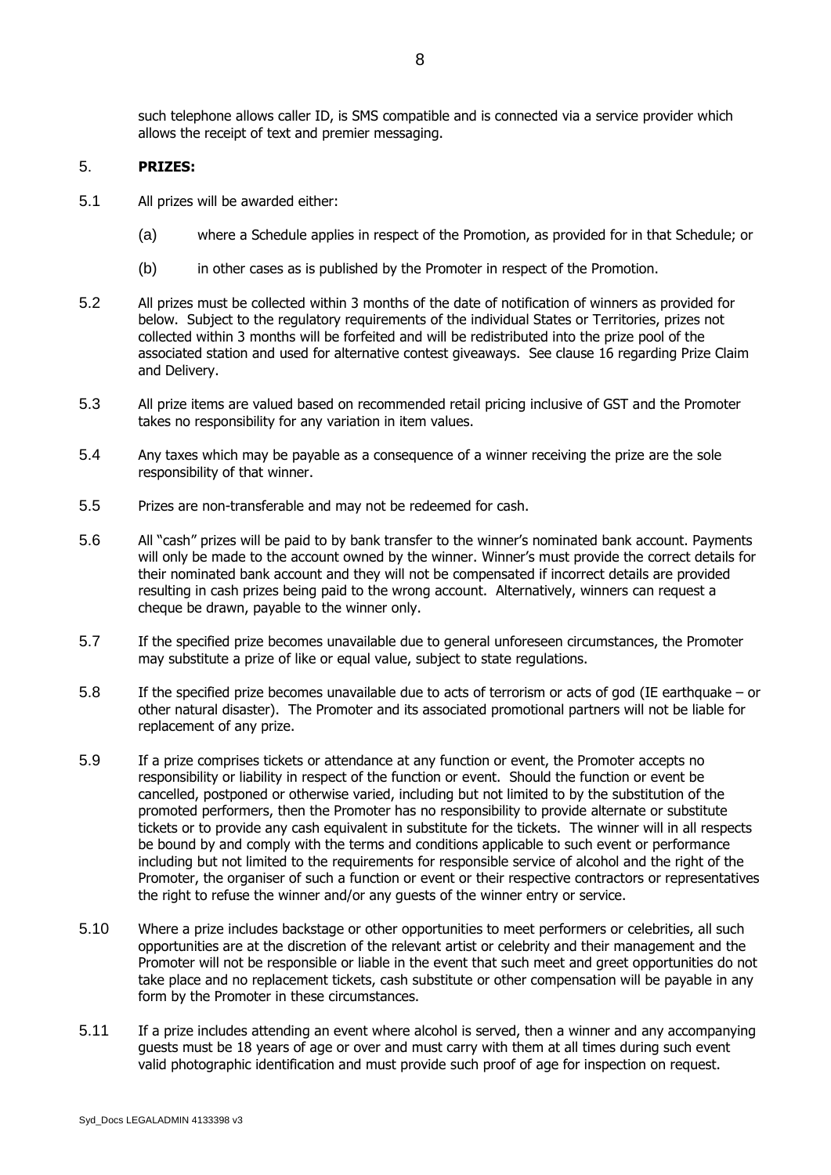such telephone allows caller ID, is SMS compatible and is connected via a service provider which allows the receipt of text and premier messaging.

# 5. **PRIZES:**

- 5.1 All prizes will be awarded either:
	- (a) where a Schedule applies in respect of the Promotion, as provided for in that Schedule; or
	- (b) in other cases as is published by the Promoter in respect of the Promotion.
- 5.2 All prizes must be collected within 3 months of the date of notification of winners as provided for below. Subject to the regulatory requirements of the individual States or Territories, prizes not collected within 3 months will be forfeited and will be redistributed into the prize pool of the associated station and used for alternative contest giveaways. See clause 16 regarding Prize Claim and Delivery.
- 5.3 All prize items are valued based on recommended retail pricing inclusive of GST and the Promoter takes no responsibility for any variation in item values.
- 5.4 Any taxes which may be payable as a consequence of a winner receiving the prize are the sole responsibility of that winner.
- 5.5 Prizes are non-transferable and may not be redeemed for cash.
- 5.6 All "cash" prizes will be paid to by bank transfer to the winner's nominated bank account. Payments will only be made to the account owned by the winner. Winner's must provide the correct details for their nominated bank account and they will not be compensated if incorrect details are provided resulting in cash prizes being paid to the wrong account. Alternatively, winners can request a cheque be drawn, payable to the winner only.
- 5.7 If the specified prize becomes unavailable due to general unforeseen circumstances, the Promoter may substitute a prize of like or equal value, subject to state regulations.
- 5.8 If the specified prize becomes unavailable due to acts of terrorism or acts of god (IE earthquake or other natural disaster). The Promoter and its associated promotional partners will not be liable for replacement of any prize.
- 5.9 If a prize comprises tickets or attendance at any function or event, the Promoter accepts no responsibility or liability in respect of the function or event. Should the function or event be cancelled, postponed or otherwise varied, including but not limited to by the substitution of the promoted performers, then the Promoter has no responsibility to provide alternate or substitute tickets or to provide any cash equivalent in substitute for the tickets. The winner will in all respects be bound by and comply with the terms and conditions applicable to such event or performance including but not limited to the requirements for responsible service of alcohol and the right of the Promoter, the organiser of such a function or event or their respective contractors or representatives the right to refuse the winner and/or any guests of the winner entry or service.
- 5.10 Where a prize includes backstage or other opportunities to meet performers or celebrities, all such opportunities are at the discretion of the relevant artist or celebrity and their management and the Promoter will not be responsible or liable in the event that such meet and greet opportunities do not take place and no replacement tickets, cash substitute or other compensation will be payable in any form by the Promoter in these circumstances.
- 5.11 If a prize includes attending an event where alcohol is served, then a winner and any accompanying guests must be 18 years of age or over and must carry with them at all times during such event valid photographic identification and must provide such proof of age for inspection on request.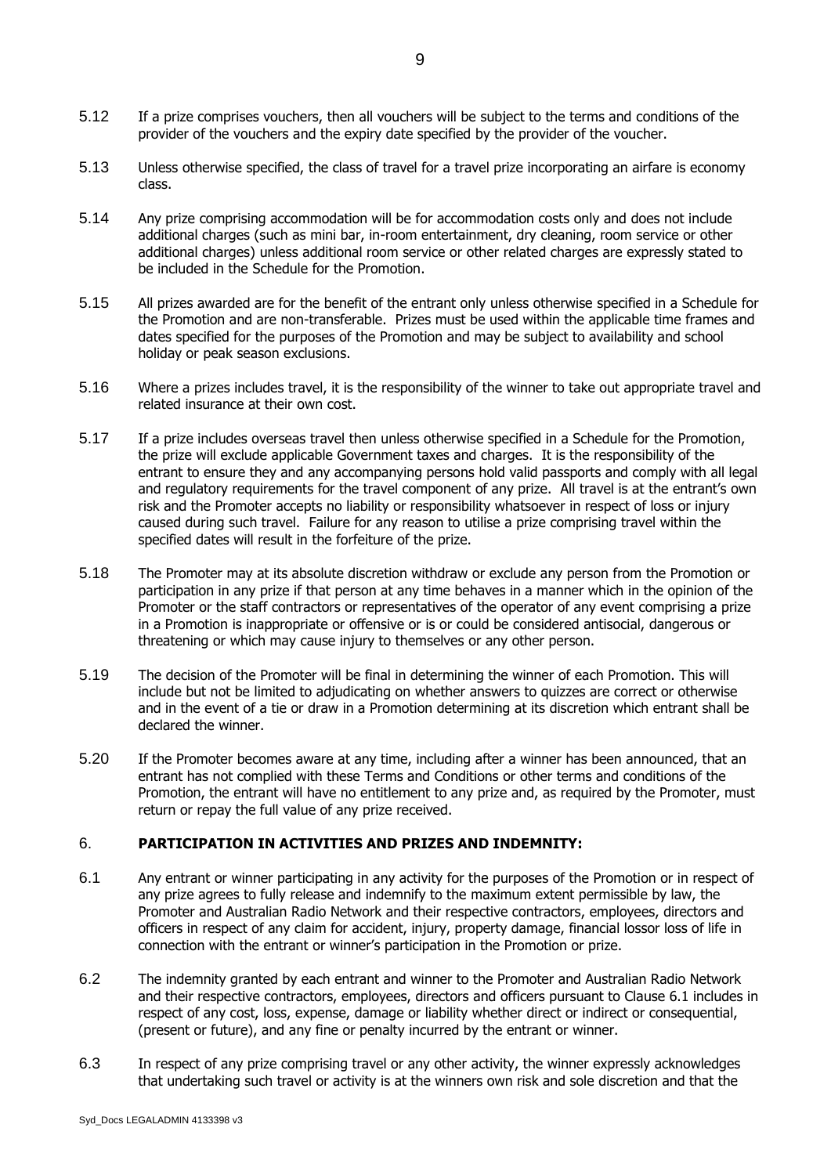- 5.12 If a prize comprises vouchers, then all vouchers will be subject to the terms and conditions of the provider of the vouchers and the expiry date specified by the provider of the voucher.
- 5.13 Unless otherwise specified, the class of travel for a travel prize incorporating an airfare is economy class.
- 5.14 Any prize comprising accommodation will be for accommodation costs only and does not include additional charges (such as mini bar, in-room entertainment, dry cleaning, room service or other additional charges) unless additional room service or other related charges are expressly stated to be included in the Schedule for the Promotion.
- 5.15 All prizes awarded are for the benefit of the entrant only unless otherwise specified in a Schedule for the Promotion and are non-transferable. Prizes must be used within the applicable time frames and dates specified for the purposes of the Promotion and may be subject to availability and school holiday or peak season exclusions.
- 5.16 Where a prizes includes travel, it is the responsibility of the winner to take out appropriate travel and related insurance at their own cost.
- 5.17 If a prize includes overseas travel then unless otherwise specified in a Schedule for the Promotion, the prize will exclude applicable Government taxes and charges. It is the responsibility of the entrant to ensure they and any accompanying persons hold valid passports and comply with all legal and regulatory requirements for the travel component of any prize. All travel is at the entrant's own risk and the Promoter accepts no liability or responsibility whatsoever in respect of loss or injury caused during such travel. Failure for any reason to utilise a prize comprising travel within the specified dates will result in the forfeiture of the prize.
- 5.18 The Promoter may at its absolute discretion withdraw or exclude any person from the Promotion or participation in any prize if that person at any time behaves in a manner which in the opinion of the Promoter or the staff contractors or representatives of the operator of any event comprising a prize in a Promotion is inappropriate or offensive or is or could be considered antisocial, dangerous or threatening or which may cause injury to themselves or any other person.
- 5.19 The decision of the Promoter will be final in determining the winner of each Promotion. This will include but not be limited to adjudicating on whether answers to quizzes are correct or otherwise and in the event of a tie or draw in a Promotion determining at its discretion which entrant shall be declared the winner.
- 5.20 If the Promoter becomes aware at any time, including after a winner has been announced, that an entrant has not complied with these Terms and Conditions or other terms and conditions of the Promotion, the entrant will have no entitlement to any prize and, as required by the Promoter, must return or repay the full value of any prize received.

# 6. **PARTICIPATION IN ACTIVITIES AND PRIZES AND INDEMNITY:**

- <span id="page-8-0"></span>6.1 Any entrant or winner participating in any activity for the purposes of the Promotion or in respect of any prize agrees to fully release and indemnify to the maximum extent permissible by law, the Promoter and Australian Radio Network and their respective contractors, employees, directors and officers in respect of any claim for accident, injury, property damage, financial lossor loss of life in connection with the entrant or winner's participation in the Promotion or prize.
- 6.2 The indemnity granted by each entrant and winner to the Promoter and Australian Radio Network and their respective contractors, employees, directors and officers pursuant to Clause 6.1 includes in respect of any cost, loss, expense, damage or liability whether direct or indirect or consequential, (present or future), and any fine or penalty incurred by the entrant or winner.
- 6.3 In respect of any prize comprising travel or any other activity, the winner expressly acknowledges that undertaking such travel or activity is at the winners own risk and sole discretion and that the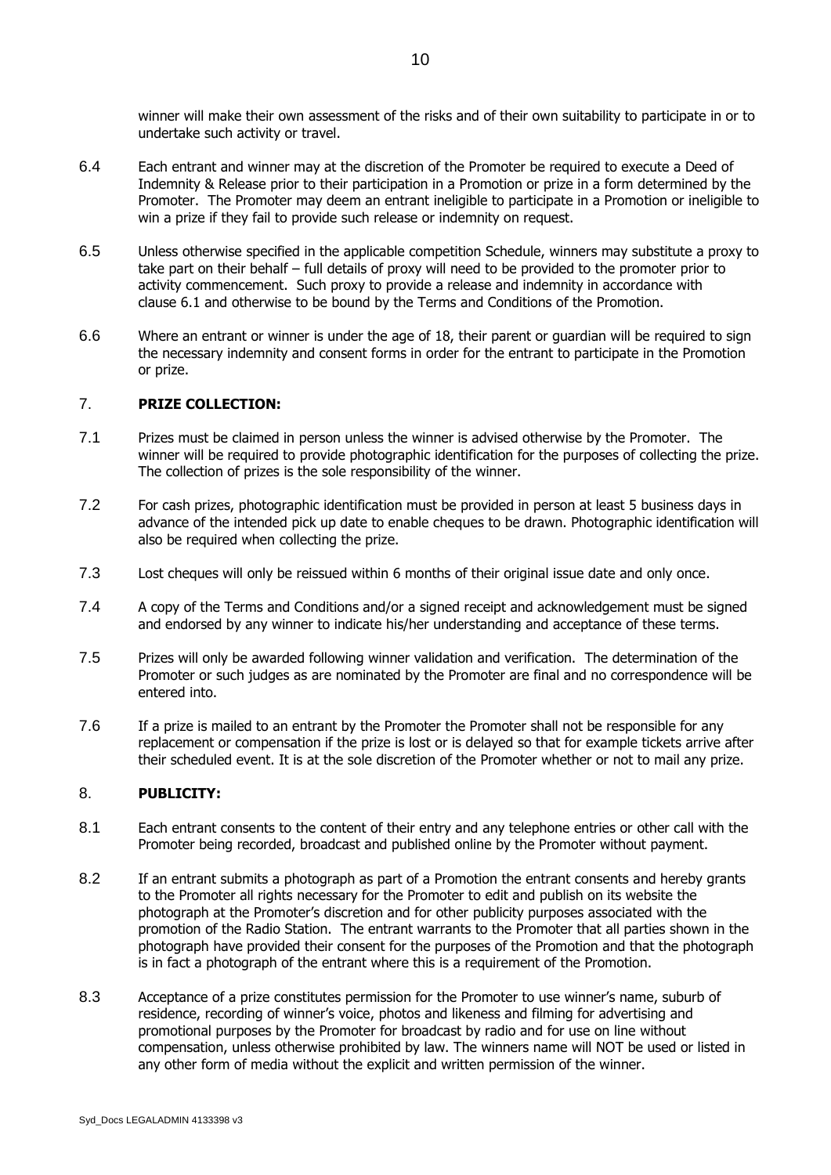winner will make their own assessment of the risks and of their own suitability to participate in or to undertake such activity or travel.

- 6.4 Each entrant and winner may at the discretion of the Promoter be required to execute a Deed of Indemnity & Release prior to their participation in a Promotion or prize in a form determined by the Promoter. The Promoter may deem an entrant ineligible to participate in a Promotion or ineligible to win a prize if they fail to provide such release or indemnity on request.
- 6.5 Unless otherwise specified in the applicable competition Schedule, winners may substitute a proxy to take part on their behalf – full details of proxy will need to be provided to the promoter prior to activity commencement. Such proxy to provide a release and indemnity in accordance with clause [6.1](#page-8-0) and otherwise to be bound by the Terms and Conditions of the Promotion.
- 6.6 Where an entrant or winner is under the age of 18, their parent or guardian will be required to sign the necessary indemnity and consent forms in order for the entrant to participate in the Promotion or prize.

#### 7. **PRIZE COLLECTION:**

- 7.1 Prizes must be claimed in person unless the winner is advised otherwise by the Promoter. The winner will be required to provide photographic identification for the purposes of collecting the prize. The collection of prizes is the sole responsibility of the winner.
- 7.2 For cash prizes, photographic identification must be provided in person at least 5 business days in advance of the intended pick up date to enable cheques to be drawn. Photographic identification will also be required when collecting the prize.
- 7.3 Lost cheques will only be reissued within 6 months of their original issue date and only once.
- 7.4 A copy of the Terms and Conditions and/or a signed receipt and acknowledgement must be signed and endorsed by any winner to indicate his/her understanding and acceptance of these terms.
- 7.5 Prizes will only be awarded following winner validation and verification. The determination of the Promoter or such judges as are nominated by the Promoter are final and no correspondence will be entered into.
- 7.6 If a prize is mailed to an entrant by the Promoter the Promoter shall not be responsible for any replacement or compensation if the prize is lost or is delayed so that for example tickets arrive after their scheduled event. It is at the sole discretion of the Promoter whether or not to mail any prize.

# 8. **PUBLICITY:**

- 8.1 Each entrant consents to the content of their entry and any telephone entries or other call with the Promoter being recorded, broadcast and published online by the Promoter without payment.
- 8.2 If an entrant submits a photograph as part of a Promotion the entrant consents and hereby grants to the Promoter all rights necessary for the Promoter to edit and publish on its website the photograph at the Promoter's discretion and for other publicity purposes associated with the promotion of the Radio Station. The entrant warrants to the Promoter that all parties shown in the photograph have provided their consent for the purposes of the Promotion and that the photograph is in fact a photograph of the entrant where this is a requirement of the Promotion.
- 8.3 Acceptance of a prize constitutes permission for the Promoter to use winner's name, suburb of residence, recording of winner's voice, photos and likeness and filming for advertising and promotional purposes by the Promoter for broadcast by radio and for use on line without compensation, unless otherwise prohibited by law. The winners name will NOT be used or listed in any other form of media without the explicit and written permission of the winner.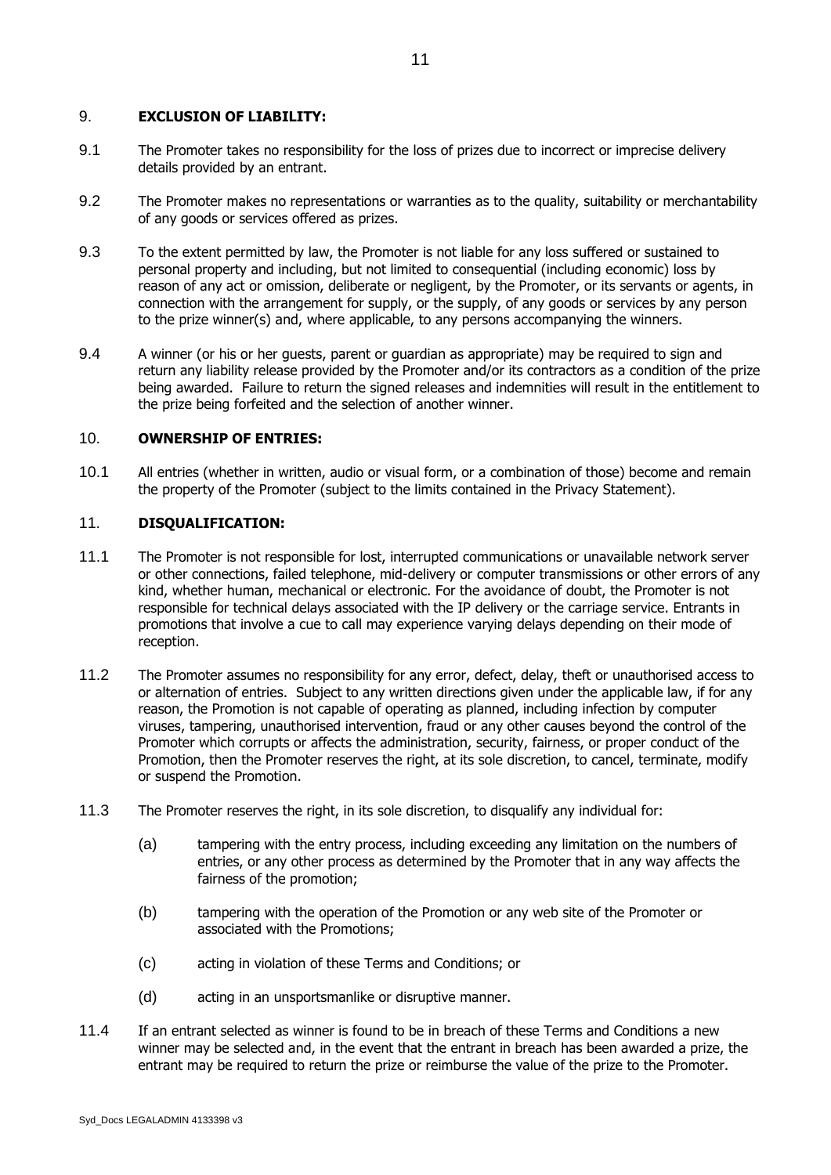# 9. **EXCLUSION OF LIABILITY:**

- 9.1 The Promoter takes no responsibility for the loss of prizes due to incorrect or imprecise delivery details provided by an entrant.
- 9.2 The Promoter makes no representations or warranties as to the quality, suitability or merchantability of any goods or services offered as prizes.
- 9.3 To the extent permitted by law, the Promoter is not liable for any loss suffered or sustained to personal property and including, but not limited to consequential (including economic) loss by reason of any act or omission, deliberate or negligent, by the Promoter, or its servants or agents, in connection with the arrangement for supply, or the supply, of any goods or services by any person to the prize winner(s) and, where applicable, to any persons accompanying the winners.
- 9.4 A winner (or his or her guests, parent or guardian as appropriate) may be required to sign and return any liability release provided by the Promoter and/or its contractors as a condition of the prize being awarded. Failure to return the signed releases and indemnities will result in the entitlement to the prize being forfeited and the selection of another winner.

# 10. **OWNERSHIP OF ENTRIES:**

10.1 All entries (whether in written, audio or visual form, or a combination of those) become and remain the property of the Promoter (subject to the limits contained in the Privacy Statement).

# 11. **DISQUALIFICATION:**

- 11.1 The Promoter is not responsible for lost, interrupted communications or unavailable network server or other connections, failed telephone, mid-delivery or computer transmissions or other errors of any kind, whether human, mechanical or electronic. For the avoidance of doubt, the Promoter is not responsible for technical delays associated with the IP delivery or the carriage service. Entrants in promotions that involve a cue to call may experience varying delays depending on their mode of reception.
- 11.2 The Promoter assumes no responsibility for any error, defect, delay, theft or unauthorised access to or alternation of entries. Subject to any written directions given under the applicable law, if for any reason, the Promotion is not capable of operating as planned, including infection by computer viruses, tampering, unauthorised intervention, fraud or any other causes beyond the control of the Promoter which corrupts or affects the administration, security, fairness, or proper conduct of the Promotion, then the Promoter reserves the right, at its sole discretion, to cancel, terminate, modify or suspend the Promotion.
- 11.3 The Promoter reserves the right, in its sole discretion, to disqualify any individual for:
	- (a) tampering with the entry process, including exceeding any limitation on the numbers of entries, or any other process as determined by the Promoter that in any way affects the fairness of the promotion;
	- (b) tampering with the operation of the Promotion or any web site of the Promoter or associated with the Promotions;
	- (c) acting in violation of these Terms and Conditions; or
	- (d) acting in an unsportsmanlike or disruptive manner.
- 11.4 If an entrant selected as winner is found to be in breach of these Terms and Conditions a new winner may be selected and, in the event that the entrant in breach has been awarded a prize, the entrant may be required to return the prize or reimburse the value of the prize to the Promoter.